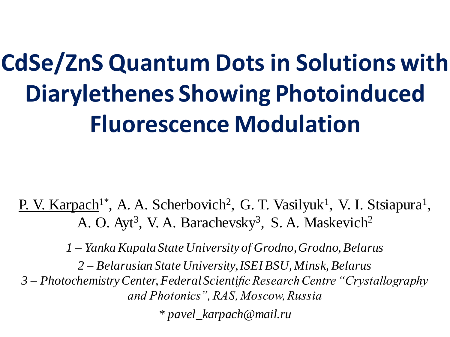# **CdSe/ZnS Quantum Dots in Solutions with Diarylethenes Showing Photoinduced Fluorescence Modulation**

P. V. Karpach<sup>1\*</sup>, A. A. Scherbovich<sup>2</sup>, G. T. Vasilyuk<sup>1</sup>, V. I. Stsiapura<sup>1</sup>, A. O. Ayt<sup>3</sup>, V. A. Barachevsky<sup>3</sup>, S. A. Maskevich<sup>2</sup>

*1 – Yanka Kupala State University of Grodno, Grodno, Belarus* 

*2 – Belarusian State University, ISEI BSU, Minsk, Belarus*

*3 – Photochemistry Center, Federal Scientific Research Centre "Crystallography and Photonics", RAS, Moscow, Russia*

*\* pavel\_karpach@mail.ru*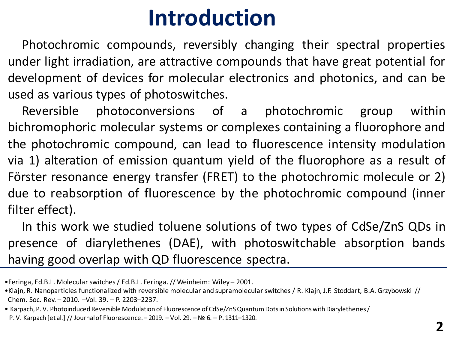#### **Introduction**

Photochromic compounds, reversibly changing their spectral properties under light irradiation, are attractive compounds that have great potential for development of devices for molecular electronics and photonics, and can be used as various types of photoswitches.

Reversible photoconversions of a photochromic group within bichromophoric molecular systems or complexes containing a fluorophore and the photochromic compound, can lead to fluorescence intensity modulation via 1) alteration of emission quantum yield of the fluorophore as a result of Förster resonance energy transfer (FRET) to the photochromic molecule or 2) due to reabsorption of fluorescence by the photochromic compound (inner filter effect).

In this work we studied toluene solutions of two types of CdSe/ZnS QDs in presence of diarylethenes (DAE), with photoswitchable absorption bands having good overlap with QD fluorescence spectra.

<sup>•</sup>Feringa, Ed.B.L. Molecular switches / Ed.B.L. Feringa. // Weinheim: Wiley – 2001.

<sup>•</sup>Klajn, R. Nanoparticles functionalized with reversible molecular and supramolecular switches / R. Klajn, J.F. Stoddart, B.A. Grzybowski // Chem. Soc. Rev. – 2010. –Vol. 39. – P. 2203–2237.

<sup>•</sup> Karpach, P. V. Photoinduced Reversible Modulation of Fluorescence of CdSe/ZnS Quantum Dots in Solutions with Diarylethenes / P. V. Karpach [et al.] // Journal of Fluorescence. – 2019. – Vol. 29. –№ 6. – P. 1311–1320.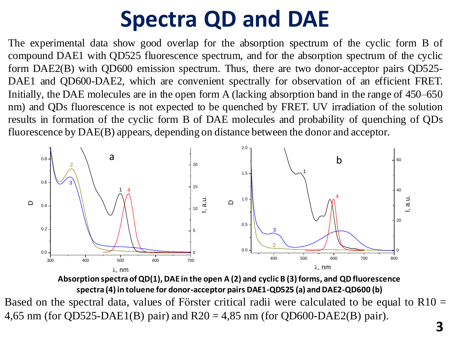# **Spectra QD and DAE**

The experimental data show good overlap for the absorption spectrum of the cyclic form B of compound DAE1 with QD525 fluorescence spectrum, and for the absorption spectrum of the cyclic form DAE2(B) with QD600 emission spectrum. Thus, there are two donor-acceptor pairs QD525- DAE1 and QD600-DAE2, which are convenient spectrally for observation of an efficient FRET. Initially, the DAE molecules are in the open form A (lacking absorption band in the range of 450–650 nm) and QDs fluorescence is not expected to be quenched by FRET. UV irradiation of the solution results in formation of the cyclic form B of DAE molecules and probability of quenching of QDs fluorescence by DAE(B) appears, depending on distance between the donor and acceptor.



**Absorption spectra of QD(1), DAE in the open A (2) and cyclic B (3) forms, and QD fluorescence spectra (4) in toluene for donor-acceptor pairs DAE1-QD525 (a) and DAE2-QD600 (b)**

Based on the spectral data, values of Förster critical radii were calculated to be equal to R10 = 4,65 nm (for QD525-DAE1(B) pair) and  $R20 = 4,85$  nm (for QD600-DAE2(B) pair).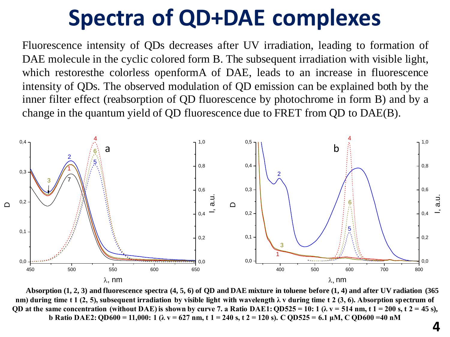### **Spectra of QD+DAE complexes**

Fluorescence intensity of QDs decreases after UV irradiation, leading to formation of DAE molecule in the cyclic colored form B. The subsequent irradiation with visible light, which restoresthe colorless openformA of DAE, leads to an increase in fluorescence intensity of QDs. The observed modulation of QD emission can be explained both by the inner filter effect (reabsorption of QD fluorescence by photochrome in form B) and by a change in the quantum yield of QD fluorescence due to FRET from QD to DAE(B).



**Absorption (1, 2, 3) and fluorescence spectra (4, 5, 6) of QD and DAE mixture in toluene before (1, 4) and after UV radiation (365 nm) during time t 1 (2, 5), subsequent irradiation by visible light with wavelength λ v during time t 2 (3, 6). Absorption spectrum of QD** at the same concentration (without DAE) is shown by curve 7. a Ratio DAE1:  $QD525 = 10$ :  $1 (\lambda v = 514$  nm, t  $1 = 200$  s, t  $2 = 45$  s), **b Ratio DAE2: QD600 = 11,000: 1 (λ v = 627 nm, t 1 = 240 s, t 2 = 120 s). C QD525 = 6.1 μM, C QD600 =40 nM**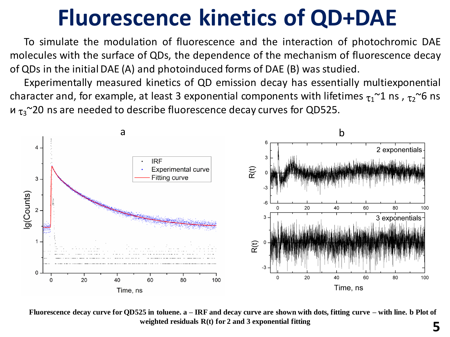## **Fluorescence kinetics of QD+DAE**

To simulate the modulation of fluorescence and the interaction of photochromic DAE molecules with the surface of QDs, the dependence of the mechanism of fluorescence decay of QDs in the initial DAE (A) and photoinduced forms of DAE (B) was studied.

Experimentally measured kinetics of QD emission decay has essentially multiexponential character and, for example, at least 3 exponential components with lifetimes  $\tau_1$ <sup>~1</sup> ns,  $\tau_2$ <sup>~6</sup> ns  $u_{\tau_3}$ ~20 ns are needed to describe fluorescence decay curves for QD525.



**5 Fluorescence decay curve for QD525 in toluene. a – IRF and decay curve are shown with dots, fitting curve – with line. b Plot of weighted residuals R(t) for 2 and 3 exponential fitting**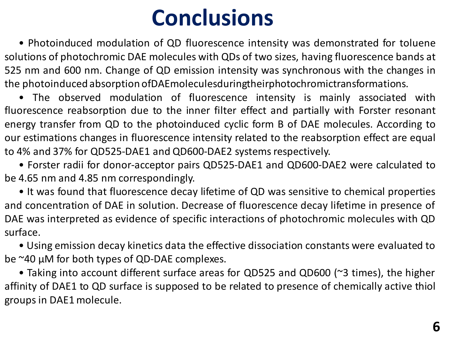## **Conclusions**

• Photoinduced modulation of QD fluorescence intensity was demonstrated for toluene solutions of photochromic DAE molecules with QDs of two sizes, having fluorescence bands at 525 nm and 600 nm. Change of QD emission intensity was synchronous with the changes in the photoinduced absorption ofDAEmoleculesduringtheirphotochromictransformations.

• The observed modulation of fluorescence intensity is mainly associated with fluorescence reabsorption due to the inner filter effect and partially with Forster resonant energy transfer from QD to the photoinduced cyclic form B of DAE molecules. According to our estimations changes in fluorescence intensity related to the reabsorption effect are equal to 4% and 37% for QD525-DAE1 and QD600-DAE2 systems respectively.

• Forster radii for donor-acceptor pairs QD525-DAE1 and QD600-DAE2 were calculated to be 4.65 nm and 4.85 nm correspondingly.

• It was found that fluorescence decay lifetime of QD was sensitive to chemical properties and concentration of DAE in solution. Decrease of fluorescence decay lifetime in presence of DAE was interpreted as evidence of specific interactions of photochromic molecules with QD surface.

• Using emission decay kinetics data the effective dissociation constants were evaluated to be ~40 μM for both types of QD-DAE complexes.

• Taking into account different surface areas for QD525 and QD600 (~3 times), the higher affinity of DAE1 to QD surface is supposed to be related to presence of chemically active thiol groupsin DAE1molecule.